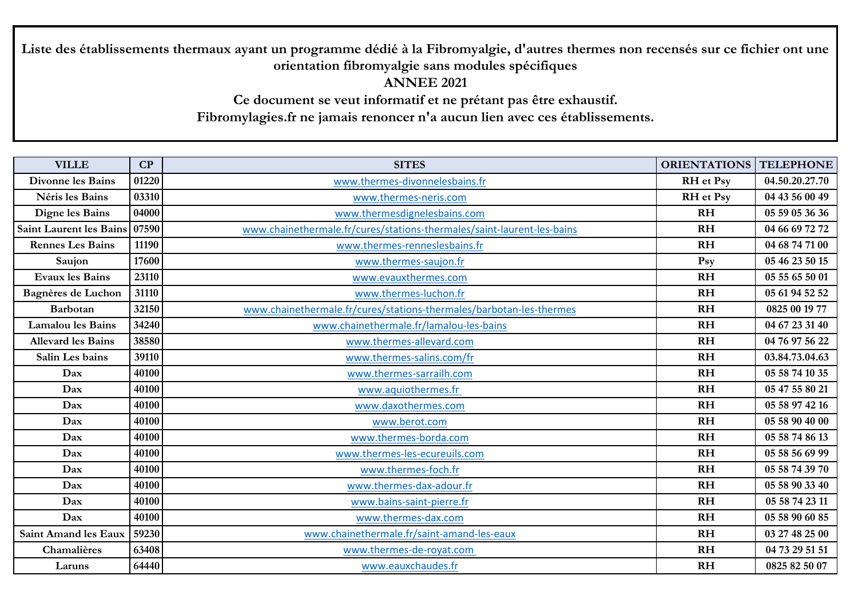**Liste des établissements thermaux ayant un programme dédié à la Fibromyalgie, d'autres thermes non recensés sur ce fichier ont une orientation fibromyalgie sans modules spécifiques ANNEE 2021** 

**Ce document se veut informatif et ne prétant pas être exhaustif. Fibromylagies.fr ne jamais renoncer n'a aucun lien avec ces établissements.** 

| <b>VILLE</b>                   | CP    | <b>SITES</b>                                                           | <b>ORIENTATIONS</b> | <b>TELEPHONE</b> |
|--------------------------------|-------|------------------------------------------------------------------------|---------------------|------------------|
| <b>Divonne les Bains</b>       | 01220 | www.thermes-divonnelesbains.fr                                         | <b>RH</b> et Psy    | 04.50.20.27.70   |
| Néris les Bains                | 03310 | www.thermes-neris.com                                                  | <b>RH</b> et Psy    | 04 43 56 00 49   |
| Digne les Bains                | 04000 | www.thermesdignelesbains.com                                           | <b>RH</b>           | 05 59 05 36 36   |
| <b>Saint Laurent les Bains</b> | 07590 | www.chainethermale.fr/cures/stations-thermales/saint-laurent-les-bains | <b>RH</b>           | 04 66 69 72 72   |
| <b>Rennes Les Bains</b>        | 11190 | www.thermes-renneslesbains.fr                                          | <b>RH</b>           | 04 68 74 71 00   |
| Saujon                         | 17600 | www.thermes-saujon.fr                                                  | Psy                 | 05 46 23 50 15   |
| <b>Evaux les Bains</b>         | 23110 | www.evauxthermes.com                                                   | RH                  | 05 55 65 50 01   |
| Bagnères de Luchon             | 31110 | www.thermes-luchon.fr                                                  | R <sub>H</sub>      | 05 61 94 52 52   |
| <b>Barbotan</b>                | 32150 | www.chainethermale.fr/cures/stations-thermales/barbotan-les-thermes    | <b>RH</b>           | 0825 00 19 77    |
| <b>Lamalou</b> les Bains       | 34240 | www.chainethermale.fr/lamalou-les-bains                                | <b>RH</b>           | 04 67 23 31 40   |
| <b>Allevard les Bains</b>      | 38580 | www.thermes-allevard.com                                               | <b>RH</b>           | 04 76 97 56 22   |
| Salin Les bains                | 39110 | www.thermes-salins.com/fr                                              | <b>RH</b>           | 03.84.73.04.63   |
| <b>Dax</b>                     | 40100 | www.thermes-sarrailh.com                                               | <b>RH</b>           | 05 58 74 10 35   |
| Dax                            | 40100 | www.aquiothermes.fr                                                    | R <sub>H</sub>      | 05 47 55 80 21   |
| Dax                            | 40100 | www.daxothermes.com                                                    | <b>RH</b>           | 05 58 97 42 16   |
| Dax                            | 40100 | www.berot.com                                                          | <b>RH</b>           | 05 58 90 40 00   |
| Dax                            | 40100 | www.thermes-borda.com                                                  | <b>RH</b>           | 05 58 74 86 13   |
| Dax                            | 40100 | www.thermes-les-ecureuils.com                                          | <b>RH</b>           | 05 58 56 69 99   |
| Dax                            | 40100 | www.thermes-foch.fr                                                    | <b>RH</b>           | 05 58 74 39 70   |
| Dax                            | 40100 | www.thermes-dax-adour.fr                                               | <b>RH</b>           | 05 58 90 33 40   |
| Dax                            | 40100 | www.bains-saint-pierre.fr                                              | RH                  | 05 58 74 23 11   |
| Dax                            | 40100 | www.thermes-dax.com                                                    | R <sub>H</sub>      | 05 58 90 60 85   |
| <b>Saint Amand les Eaux</b>    | 59230 | www.chainethermale.fr/saint-amand-les-eaux                             | <b>RH</b>           | 03 27 48 25 00   |
| Chamalières                    | 63408 | www.thermes-de-royat.com                                               | <b>RH</b>           | 04 73 29 51 51   |
| Laruns                         | 64440 | www.eauxchaudes.fr                                                     | <b>RH</b>           | 0825 82 50 07    |